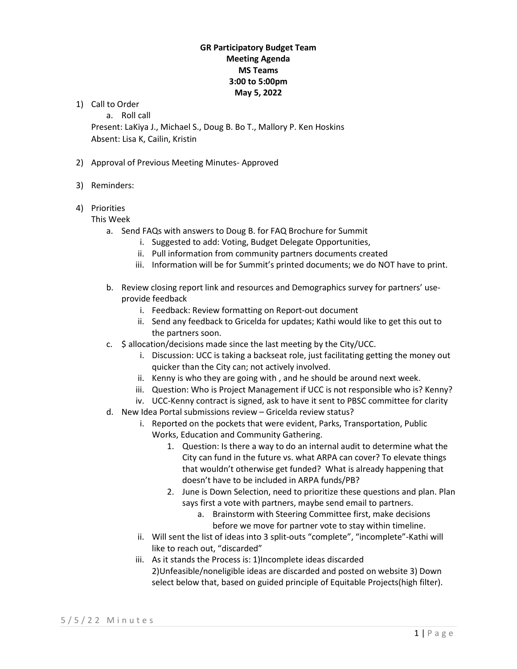1) Call to Order

a. Roll call

Present: LaKiya J., Michael S., Doug B. Bo T., Mallory P. Ken Hoskins Absent: Lisa K, Cailin, Kristin

- 2) Approval of Previous Meeting Minutes- Approved
- 3) Reminders:
- 4) Priorities
	- This Week
		- a. Send FAQs with answers to Doug B. for FAQ Brochure for Summit
			- i. Suggested to add: Voting, Budget Delegate Opportunities,
			- ii. Pull information from community partners documents created
			- iii. Information will be for Summit's printed documents; we do NOT have to print.
		- b. Review closing report link and resources and Demographics survey for partners' useprovide feedback
			- i. Feedback: Review formatting on Report-out document
			- ii. Send any feedback to Gricelda for updates; Kathi would like to get this out to the partners soon.
		- c. \$ allocation/decisions made since the last meeting by the City/UCC.
			- i. Discussion: UCC is taking a backseat role, just facilitating getting the money out quicker than the City can; not actively involved.
			- ii. Kenny is who they are going with , and he should be around next week.
			- iii. Question: Who is Project Management if UCC is not responsible who is? Kenny?
			- iv. UCC-Kenny contract is signed, ask to have it sent to PBSC committee for clarity
		- d. New Idea Portal submissions review Gricelda review status?
			- i. Reported on the pockets that were evident, Parks, Transportation, Public Works, Education and Community Gathering.
				- 1. Question: Is there a way to do an internal audit to determine what the City can fund in the future vs. what ARPA can cover? To elevate things that wouldn't otherwise get funded? What is already happening that doesn't have to be included in ARPA funds/PB?
				- 2. June is Down Selection, need to prioritize these questions and plan. Plan says first a vote with partners, maybe send email to partners.
					- a. Brainstorm with Steering Committee first, make decisions before we move for partner vote to stay within timeline.
			- ii. Will sent the list of ideas into 3 split-outs "complete", "incomplete"-Kathi will like to reach out, "discarded"
			- iii. As it stands the Process is: 1)Incomplete ideas discarded 2)Unfeasible/noneligible ideas are discarded and posted on website 3) Down select below that, based on guided principle of Equitable Projects(high filter).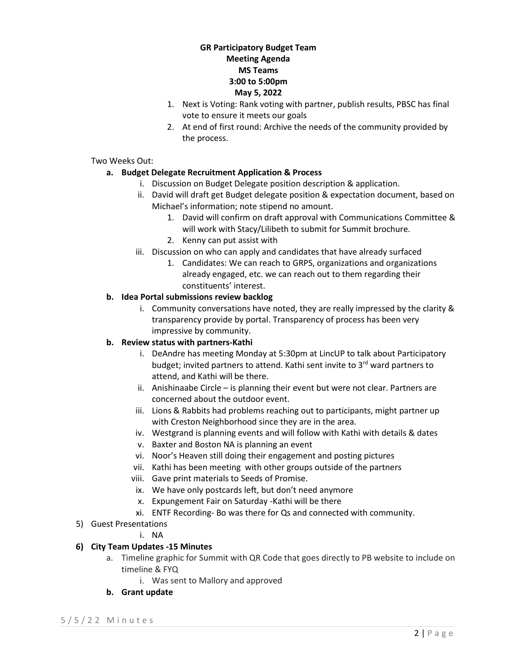- 1. Next is Voting: Rank voting with partner, publish results, PBSC has final vote to ensure it meets our goals
- 2. At end of first round: Archive the needs of the community provided by the process.

## Two Weeks Out:

# **a. Budget Delegate Recruitment Application & Process**

- i. Discussion on Budget Delegate position description & application.
- ii. David will draft get Budget delegate position & expectation document, based on Michael's information; note stipend no amount.
	- 1. David will confirm on draft approval with Communications Committee & will work with Stacy/Lilibeth to submit for Summit brochure.
	- 2. Kenny can put assist with
- iii. Discussion on who can apply and candidates that have already surfaced
	- 1. Candidates: We can reach to GRPS, organizations and organizations already engaged, etc. we can reach out to them regarding their constituents' interest.

# **b. Idea Portal submissions review backlog**

i. Community conversations have noted, they are really impressed by the clarity & transparency provide by portal. Transparency of process has been very impressive by community.

# **b. Review status with partners-Kathi**

- i. DeAndre has meeting Monday at 5:30pm at LincUP to talk about Participatory budget; invited partners to attend. Kathi sent invite to 3<sup>rd</sup> ward partners to attend, and Kathi will be there.
- ii. Anishinaabe Circle is planning their event but were not clear. Partners are concerned about the outdoor event.
- iii. Lions & Rabbits had problems reaching out to participants, might partner up with Creston Neighborhood since they are in the area.
- iv. Westgrand is planning events and will follow with Kathi with details & dates
- v. Baxter and Boston NA is planning an event
- vi. Noor's Heaven still doing their engagement and posting pictures
- vii. Kathi has been meeting with other groups outside of the partners
- viii. Gave print materials to Seeds of Promise.
- ix. We have only postcards left, but don't need anymore
- x. Expungement Fair on Saturday -Kathi will be there
- xi. ENTF Recording- Bo was there for Qs and connected with community.
- 5) Guest Presentations
	- i. NA

# **6) City Team Updates -15 Minutes**

- a. Timeline graphic for Summit with QR Code that goes directly to PB website to include on timeline & FYQ
	- i. Was sent to Mallory and approved
- **b. Grant update**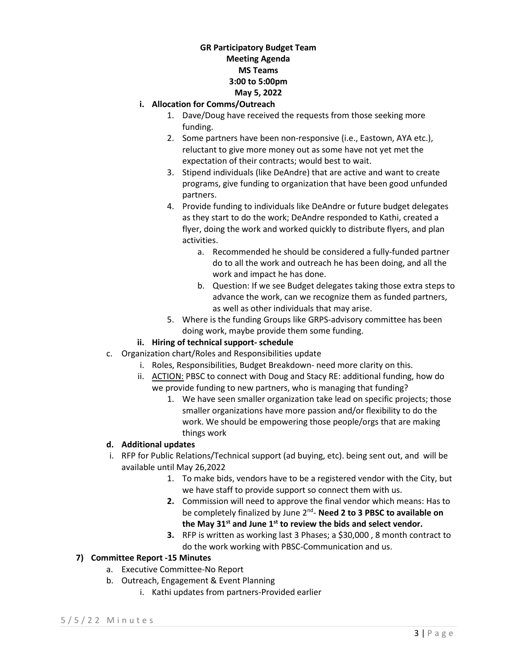#### **i. Allocation for Comms/Outreach**

- 1. Dave/Doug have received the requests from those seeking more funding.
- 2. Some partners have been non-responsive (i.e., Eastown, AYA etc.), reluctant to give more money out as some have not yet met the expectation of their contracts; would best to wait.
- 3. Stipend individuals (like DeAndre) that are active and want to create programs, give funding to organization that have been good unfunded partners.
- 4. Provide funding to individuals like DeAndre or future budget delegates as they start to do the work; DeAndre responded to Kathi, created a flyer, doing the work and worked quickly to distribute flyers, and plan activities.
	- a. Recommended he should be considered a fully-funded partner do to all the work and outreach he has been doing, and all the work and impact he has done.
	- b. Question: If we see Budget delegates taking those extra steps to advance the work, can we recognize them as funded partners, as well as other individuals that may arise.
- 5. Where is the funding Groups like GRPS-advisory committee has been doing work, maybe provide them some funding.

# **ii. Hiring of technical support- schedule**

- c. Organization chart/Roles and Responsibilities update
	- i. Roles, Responsibilities, Budget Breakdown- need more clarity on this.
	- ii. ACTION: PBSC to connect with Doug and Stacy RE: additional funding, how do we provide funding to new partners, who is managing that funding?
		- 1. We have seen smaller organization take lead on specific projects; those smaller organizations have more passion and/or flexibility to do the work. We should be empowering those people/orgs that are making things work

# **d. Additional updates**

- i. RFP for Public Relations/Technical support (ad buying, etc). being sent out, and will be available until May 26,2022
	- 1. To make bids, vendors have to be a registered vendor with the City, but we have staff to provide support so connect them with us.
	- **2.** Commission will need to approve the final vendor which means: Has to be completely finalized by June 2nd- **Need 2 to 3 PBSC to available on the May 31st and June 1st to review the bids and select vendor.**
	- **3.** RFP is written as working last 3 Phases; a \$30,000 , 8 month contract to do the work working with PBSC-Communication and us.

# **7) Committee Report -15 Minutes**

- a. Executive Committee-No Report
- b. Outreach, Engagement & Event Planning
	- i. Kathi updates from partners-Provided earlier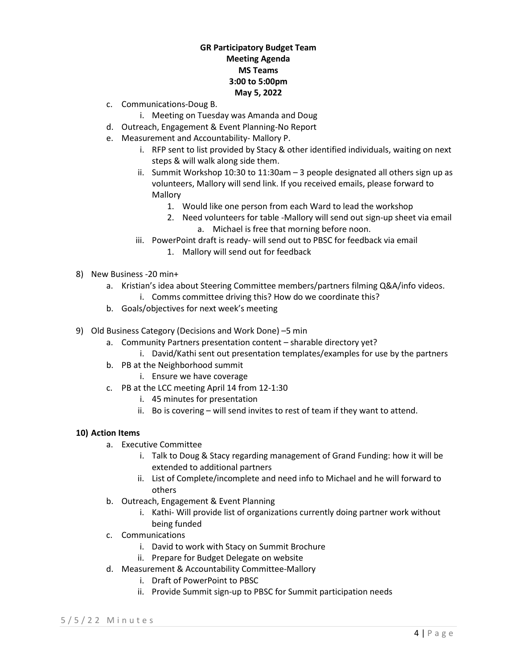- c. Communications-Doug B.
	- i. Meeting on Tuesday was Amanda and Doug
- d. Outreach, Engagement & Event Planning-No Report
- e. Measurement and Accountability- Mallory P.
	- i. RFP sent to list provided by Stacy & other identified individuals, waiting on next steps & will walk along side them.
	- ii. Summit Workshop 10:30 to 11:30am 3 people designated all others sign up as volunteers, Mallory will send link. If you received emails, please forward to Mallory
		- 1. Would like one person from each Ward to lead the workshop
		- 2. Need volunteers for table -Mallory will send out sign-up sheet via email a. Michael is free that morning before noon.
	- iii. PowerPoint draft is ready- will send out to PBSC for feedback via email
		- 1. Mallory will send out for feedback
- 8) New Business -20 min+
	- a. Kristian's idea about Steering Committee members/partners filming Q&A/info videos. i. Comms committee driving this? How do we coordinate this?
	- b. Goals/objectives for next week's meeting
- 9) Old Business Category (Decisions and Work Done) –5 min
	- a. Community Partners presentation content sharable directory yet?
		- i. David/Kathi sent out presentation templates/examples for use by the partners
	- b. PB at the Neighborhood summit
		- i. Ensure we have coverage
	- c. PB at the LCC meeting April 14 from 12-1:30
		- i. 45 minutes for presentation
		- ii. Bo is covering will send invites to rest of team if they want to attend.

#### **10) Action Items**

- a. Executive Committee
	- i. Talk to Doug & Stacy regarding management of Grand Funding: how it will be extended to additional partners
	- ii. List of Complete/incomplete and need info to Michael and he will forward to others
- b. Outreach, Engagement & Event Planning
	- i. Kathi- Will provide list of organizations currently doing partner work without being funded
- c. Communications
	- i. David to work with Stacy on Summit Brochure
	- ii. Prepare for Budget Delegate on website
- d. Measurement & Accountability Committee-Mallory
	- i. Draft of PowerPoint to PBSC
	- ii. Provide Summit sign-up to PBSC for Summit participation needs